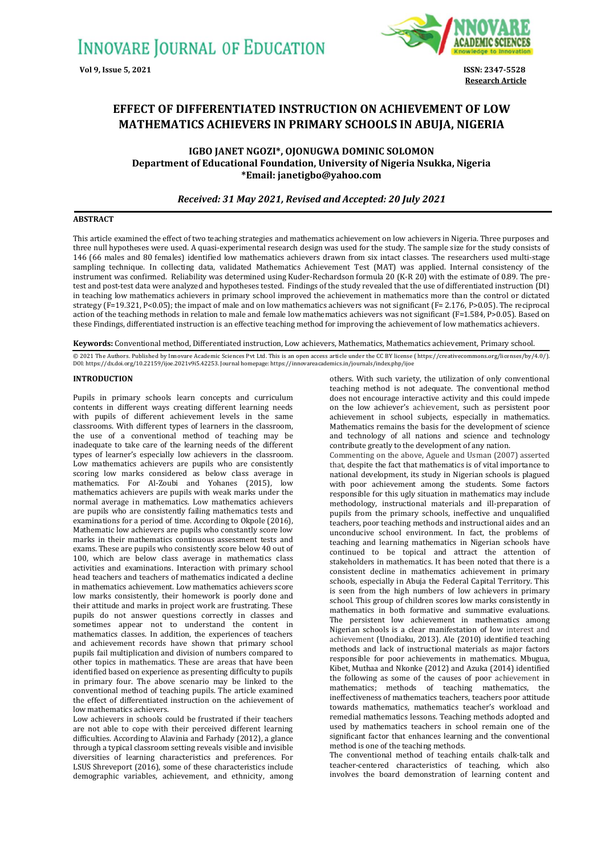

**Research Article**

# **EFFECT OF DIFFERENTIATED INSTRUCTION ON ACHIEVEMENT OF LOW MATHEMATICS ACHIEVERS IN PRIMARY SCHOOLS IN ABUJA, NIGERIA**

**IGBO JANET NGOZI\*, OJONUGWA DOMINIC SOLOMON Department of Educational Foundation, University of Nigeria Nsukka, Nigeria \*Email[: janetigbo@yahoo.com](mailto:janetigbo@yahoo.com)**

# *Received: 31 May 2021, Revised and Accepted: 20 July 2021*

# **ABSTRACT**

This article examined the effect of two teaching strategies and mathematics achievement on low achievers in Nigeria. Three purposes and three null hypotheses were used. A quasi-experimental research design was used for the study. The sample size for the study consists of 146 (66 males and 80 females) identified low mathematics achievers drawn from six intact classes. The researchers used multi-stage sampling technique. In collecting data, validated Mathematics Achievement Test (MAT) was applied. Internal consistency of the instrument was confirmed. Reliability was determined using Kuder-Rechardson formula 20 (K-R 20) with the estimate of 0.89. The pretest and post-test data were analyzed and hypotheses tested. Findings of the study revealed that the use of differentiated instruction (DI) in teaching low mathematics achievers in primary school improved the achievement in mathematics more than the control or dictated strategy ( $F=19.321$ , P<0.05); the impact of male and on low mathematics achievers was not significant ( $F=2.176$ , P>0.05). The reciprocal action of the teaching methods in relation to male and female low mathematics achievers was not significant (F=1.584, P>0.05). Based on these Findings, differentiated instruction is an effective teaching method for improving the achievement of low mathematics achievers.

**Keywords:** Conventional method, Differentiated instruction, Low achievers, Mathematics, Mathematics achievement, Primary school.

© 2021 The Authors. Published by Innovare Academic Sciences Pvt Ltd. This is an open access article under the CC BY license ( https://creativecommons.org/licenses/by/4.0/).<br>DOI: https://dx.doi.org/10.22159/ijoe.2021v9i5.42

# **INTRODUCTION**

Pupils in primary schools learn concepts and curriculum contents in different ways creating different learning needs with pupils of different achievement levels in the same classrooms. With different types of learners in the classroom, the use of a conventional method of teaching may be inadequate to take care of the learning needs of the different types of learner's especially low achievers in the classroom. Low mathematics achievers are pupils who are consistently scoring low marks considered as below class average in mathematics. For Al-Zoubi and Yohanes (2015), low mathematics achievers are pupils with weak marks under the normal average in mathematics. Low mathematics achievers are pupils who are consistently failing mathematics tests and examinations for a period of time. According to Okpole (2016), Mathematic low achievers are pupils who constantly score low marks in their mathematics continuous assessment tests and exams. These are pupils who consistently score below 40 out of 100, which are below class average in mathematics class activities and examinations. Interaction with primary school head teachers and teachers of mathematics indicated a decline in mathematics achievement. Low mathematics achievers score low marks consistently, their homework is poorly done and their attitude and marks in project work are frustrating. These pupils do not answer questions correctly in classes and sometimes appear not to understand the content in mathematics classes. In addition, the experiences of teachers and achievement records have shown that primary school pupils fail multiplication and division of numbers compared to other topics in mathematics. These are areas that have been identified based on experience as presenting difficulty to pupils in primary four. The above scenario may be linked to the conventional method of teaching pupils. The article examined the effect of differentiated instruction on the achievement of low mathematics achievers.

Low achievers in schools could be frustrated if their teachers are not able to cope with their perceived different learning difficulties. According to Alavinia and Farhady (2012), a glance through a typical classroom setting reveals visible and invisible diversities of learning characteristics and preferences. For LSUS Shreveport (2016), some of these characteristics include demographic variables, achievement, and ethnicity, among others. With such variety, the utilization of only conventional teaching method is not adequate. The conventional method does not encourage interactive activity and this could impede on the low achiever's achievement, such as persistent poor achievement in school subjects, especially in mathematics. Mathematics remains the basis for the development of science and technology of all nations and science and technology contribute greatly to the development of any nation.

Commenting on the above, Aguele and Usman (2007) asserted that, despite the fact that mathematics is of vital importance to national development, its study in Nigerian schools is plagued with poor achievement among the students. Some factors responsible for this ugly situation in mathematics may include methodology, instructional materials and ill-preparation of pupils from the primary schools, ineffective and unqualified teachers, poor teaching methods and instructional aides and an unconducive school environment. In fact, the problems of teaching and learning mathematics in Nigerian schools have continued to be topical and attract the attention of stakeholders in mathematics. It has been noted that there is a consistent decline in mathematics achievement in primary schools, especially in Abuja the Federal Capital Territory. This is seen from the high numbers of low achievers in primary school. This group of children scores low marks consistently in mathematics in both formative and summative evaluations. The persistent low achievement in mathematics among Nigerian schools is a clear manifestation of low interest and achievement (Unodiaku, 2013). Ale (2010) identified teaching methods and lack of instructional materials as major factors responsible for poor achievements in mathematics. Mbugua, Kibet, Muthaa and Nkonke (2012) and Azuka (2014) identified the following as some of the causes of poor achievement in mathematics; methods of teaching mathematics, the ineffectiveness of mathematics teachers, teachers poor attitude towards mathematics, mathematics teacher's workload and remedial mathematics lessons. Teaching methods adopted and used by mathematics teachers in school remain one of the significant factor that enhances learning and the conventional method is one of the teaching methods.

The conventional method of teaching entails chalk-talk and teacher-centered characteristics of teaching, which also involves the board demonstration of learning content and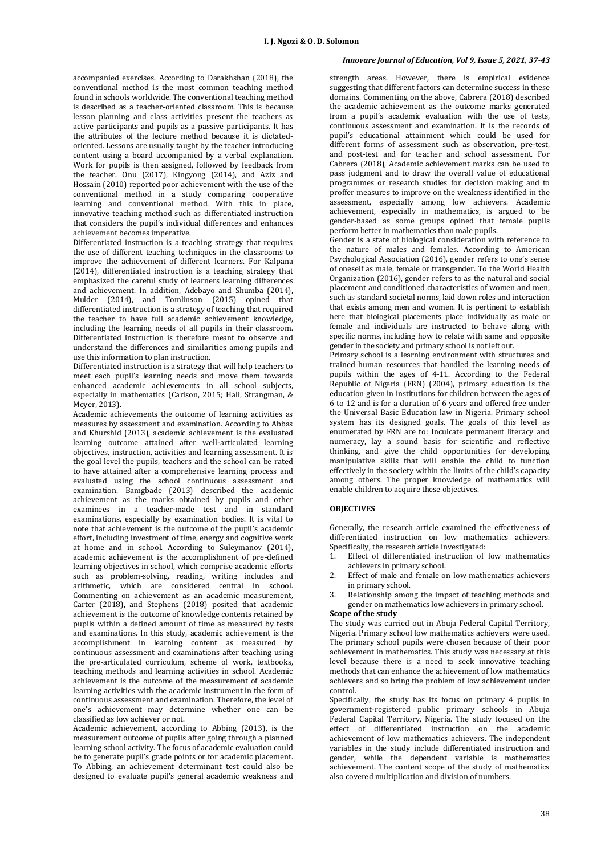accompanied exercises. According to Darakhshan (2018), the conventional method is the most common teaching method found in schools worldwide. The conventional teaching method is described as a teacher-oriented classroom. This is because lesson planning and class activities present the teachers as active participants and pupils as a passive participants. It has the attributes of the lecture method because it is dictatedoriented. Lessons are usually taught by the teacher introducing content using a board accompanied by a verbal explanation. Work for pupils is then assigned, followed by feedback from the teacher. Onu (2017), Kingyong (2014), and Aziz and Hossain (2010) reported poor achievement with the use of the conventional method in a study comparing cooperative learning and conventional method. With this in place, innovative teaching method such as differentiated instruction that considers the pupil's individual differences and enhances achievement becomes imperative.

Differentiated instruction is a teaching strategy that requires the use of different teaching techniques in the classrooms to improve the achievement of different learners. For Kalpana  $(2014)$ , differentiated instruction is a teaching strategy that emphasized the careful study of learners learning differences and achievement. In addition, Adebayo and Shumba (2014), Mulder (2014), and Tomlinson (2015) opined that differentiated instruction is a strategy of teaching that required the teacher to have full academic achievement knowledge, including the learning needs of all pupils in their classroom. Differentiated instruction is therefore meant to observe and understand the differences and similarities among pupils and use this information to plan instruction.

Differentiated instruction is a strategy that will help teachers to meet each pupil's learning needs and move them towards enhanced academic achievements in all school subjects, especially in mathematics (Carlson, 2015; Hall, Strangman, & Meyer, 2013).

Academic achievements the outcome of learning activities as measures by assessment and examination. According to Abbas and Khurshid (2013), academic achievement is the evaluated learning outcome attained after well-articulated learning objectives, instruction, activities and learning assessment. It is the goal level the pupils, teachers and the school can be rated to have attained after a comprehensive learning process and evaluated using the school continuous assessment and examination. Bamgbade (2013) described the academic achievement as the marks obtained by pupils and other examinees in a teacher-made test and in standard examinations, especially by examination bodies. It is vital to note that achievement is the outcome of the pupil's academic effort, including investment of time, energy and cognitive work at home and in school. According to Suleymanov (2014), academic achievement is the accomplishment of pre-defined learning objectives in school, which comprise academic efforts such as problem-solving, reading, writing includes and arithmetic, which are considered central in school. Commenting on achievement as an academic measurement, Carter (2018), and Stephens (2018) posited that academic achievement is the outcome of knowledge contents retained by pupils within a defined amount of time as measured by tests and examinations. In this study, academic achievement is the accomplishment in learning content as measured by continuous assessment and examinations after teaching using the pre-articulated curriculum, scheme of work, textbooks, teaching methods and learning activities in school. Academic achievement is the outcome of the measurement of academic learning activities with the academic instrument in the form of continuous assessment and examination. Therefore, the level of one's achievement may determine whether one can be classified as low achiever or not.

Academic achievement, according to Abbing (2013), is the measurement outcome of pupils after going through a planned learning school activity. The focus of academic evaluation could be to generate pupil's grade points or for academic placement. To Abbing, an achievement determinant test could also be designed to evaluate pupil's general academic weakness and

# *Innovare Journal of Education, Vol 9, Issue 5, 2021, 37-43*

strength areas. However, there is empirical evidence suggesting that different factors can determine success in these domains. Commenting on the above, Cabrera (2018) described the academic achievement as the outcome marks generated from a pupil's academic evaluation with the use of tests, continuous assessment and examination. It is the records of pupil's educational attainment which could be used for different forms of assessment such as observation, pre-test, and post-test and for teacher and school assessment. For Cabrera (2018), Academic achievement marks can be used to pass judgment and to draw the overall value of educational programmes or research studies for decision making and to proffer measures to improve on the weakness identified in the assessment, especially among low achievers. Academic achievement, especially in mathematics, is argued to be gender-based as some groups opined that female pupils perform better in mathematics than male pupils.

Gender is a state of biological consideration with reference to the nature of males and females. According to American Psychological Association (2016), gender refers to one's sense of oneself as male, female or transgender. To the World Health Organization (2016), gender refers to as the natural and social placement and conditioned characteristics of women and men, such as standard societal norms, laid down roles and interaction that exists among men and women. It is pertinent to establish here that biological placements place individually as male or female and individuals are instructed to behave along with specific norms, including how to relate with same and opposite gender in the society and primary school is not left out.

Primary school is a learning environment with structures and trained human resources that handled the learning needs of pupils within the ages of 4-11. According to the Federal Republic of Nigeria (FRN) (2004), primary education is the education given in institutions for children between the ages of 6 to 12 and is for a duration of 6 years and offered free under the Universal Basic Education law in Nigeria. Primary school system has its designed goals. The goals of this level as enumerated by FRN are to: Inculcate permanent literacy and numeracy, lay a sound basis for scientific and reflective thinking, and give the child opportunities for developing manipulative skills that will enable the child to function effectively in the society within the limits of the child's capacity among others. The proper knowledge of mathematics will enable children to acquire these objectives.

# **OBJECTIVES**

Generally, the research article examined the effectiveness of differentiated instruction on low mathematics achievers. Specifically, the research article investigated:

- Effect of differentiated instruction of low mathematics achievers in primary school.
- Effect of male and female on low mathematics achievers in primary school.
- 3. Relationship among the impact of teaching methods and gender on mathematics low achievers in primary school.

### **Scope of the study**

The study was carried out in Abuja Federal Capital Territory, Nigeria. Primary school low mathematics achievers were used. The primary school pupils were chosen because of their poor achievement in mathematics. This study was necessary at this level because there is a need to seek innovative teaching methods that can enhance the achievement of low mathematics achievers and so bring the problem of low achievement under control.

Specifically, the study has its focus on primary 4 pupils in government-registered public primary schools in Abuja Federal Capital Territory, Nigeria. The study focused on the effect of differentiated instruction on the academic achievement of low mathematics achievers. The independent variables in the study include differentiated instruction and gender, while the dependent variable is mathematics achievement. The content scope of the study of mathematics also covered multiplication and division of numbers.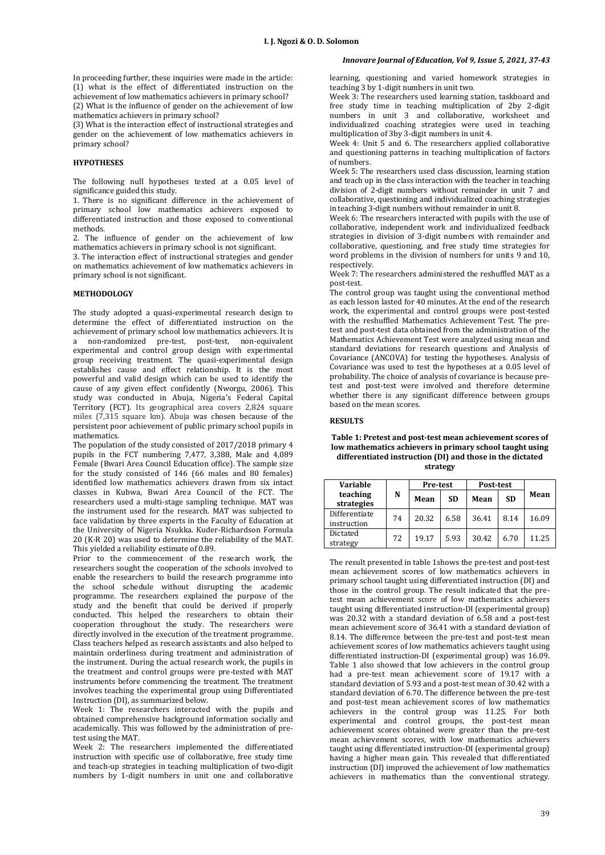In proceeding further, these inquiries were made in the article: (1) what is the effect of differentiated instruction on the achievement of low mathematics achievers in primary school? (2) What is the influence of gender on the achievement of low

mathematics achievers in primary school?

(3) What is the interaction effect of instructional strategies and gender on the achievement of low mathematics achievers in primary school?

# **HYPOTHESES**

The following null hypotheses tested at a 0.05 level of significance guided this study.

1. There is no significant difference in the achievement of primary school low mathematics achievers exposed to differentiated instruction and those exposed to conventional methods.

2. The influence of gender on the achievement of low mathematics achievers in primary school is not significant.

3. The interaction effect of instructional strategies and gender on mathematics achievement of low mathematics achievers in primary school is not significant.

# **METHODOLOGY**

The study adopted a quasi-experimental research design to determine the effect of differentiated instruction on the achievement of primary school low mathematics achievers. It is a non-randomized pre-test, post-test, non-equivalent experimental and control group design with experimental group receiving treatment. The quasi-experimental design establishes cause and effect relationship. It is the most powerful and valid design which can be used to identify the cause of any given effect confidently (Nworgu, 2006). This study was conducted in Abuja, Nigeria's Federal Capital Territory (FCT). Its geographical area covers 2,824 square miles (7,315 square km). Abuja was chosen because of the persistent poor achievement of public primary school pupils in mathematics.

The population of the study consisted of 2017/2018 primary 4 pupils in the FCT numbering 7,477, 3,388, Male and 4,089 Female (Bwari Area Council Education office). The sample size for the study consisted of 146 (66 males and 80 females) identified low mathematics achievers drawn from six intact classes in Kubwa, Bwari Area Council of the FCT. The researchers used a multi-stage sampling technique. MAT was the instrument used for the research. MAT was subjected to face validation by three experts in the Faculty of Education at the University of Nigeria Nsukka. Kuder-Richardson Formula 20 (K-R 20) was used to determine the reliability of the MAT. This yielded a reliability estimate of 0.89.

Prior to the commencement of the research work, the researchers sought the cooperation of the schools involved to enable the researchers to build the research programme into the school schedule without disrupting the academic programme. The researchers explained the purpose of the study and the benefit that could be derived if properly conducted. This helped the researchers to obtain their cooperation throughout the study. The researchers were directly involved in the execution of the treatment programme. Class teachers helped as research assistants and also helped to maintain orderliness during treatment and administration of the instrument. During the actual research work, the pupils in the treatment and control groups were pre-tested with MAT instruments before commencing the treatment. The treatment involves teaching the experimental group using Differentiated Instruction (DI), as summarized below.

Week 1: The researchers interacted with the pupils and obtained comprehensive background information socially and academically. This was followed by the administration of pretest using the MAT.

Week 2: The researchers implemented the differentiated instruction with specific use of collaborative, free study time and teach-up strategies in teaching multiplication of two-digit numbers by 1-digit numbers in unit one and collaborative

# *Innovare Journal of Education, Vol 9, Issue 5, 2021, 37-43*

learning, questioning and varied homework strategies in teaching 3 by 1-digit numbers in unit two.

Week 3: The researchers used learning station, taskboard and free study time in teaching multiplication of 2by 2-digit numbers in unit 3 and collaborative, worksheet and individualized coaching strategies were used in teaching multiplication of 3by 3-digit numbers in unit 4.

Week 4: Unit 5 and 6. The researchers applied collaborative and questioning patterns in teaching multiplication of factors of numbers.

Week 5: The researchers used class discussion, learning station and teach up in the class interaction with the teacher in teaching division of 2-digit numbers without remainder in unit 7 and collaborative, questioning and individualized coaching strategies in teaching 3-digit numbers without remainder in unit 8.

Week 6: The researchers interacted with pupils with the use of collaborative, independent work and individualized feedback strategies in division of 3-digit numbers with remainder and collaborative, questioning, and free study time strategies for word problems in the division of numbers for units 9 and 10, respectively.

Week 7: The researchers administered the reshuffled MAT as a post-test.

The control group was taught using the conventional method as each lesson lasted for 40 minutes. At the end of the research work, the experimental and control groups were post-tested with the reshuffled Mathematics Achievement Test. The pretest and post-test data obtained from the administration of the Mathematics Achievement Test were analyzed using mean and standard deviations for research questions and Analysis of Covariance (ANCOVA) for testing the hypotheses. Analysis of Covariance was used to test the hypotheses at a 0.05 level of probability. The choice of analysis of covariance is because pretest and post-test were involved and therefore determine whether there is any significant difference between groups based on the mean scores.

### **RESULTS**

### **Table 1: Pretest and post-test mean achievement scores of low mathematics achievers in primary school taught using differentiated instruction (DI) and those in the dictated strategy**

| Variable                     |    | Pre-test |           | Post-test |           |       |  |
|------------------------------|----|----------|-----------|-----------|-----------|-------|--|
| teaching<br>strategies       | N  | Mean     | <b>SD</b> | Mean      | <b>SD</b> | Mean  |  |
| Differentiate<br>instruction | 74 | 20.32    | 6.58      | 36.41     | 8.14      | 16.09 |  |
| Dictated<br>strategy         | 72 | 19.17    | 5.93      | 30.42     | 6.70      | 11.25 |  |

The result presented in table 1shows the pre-test and post-test mean achievement scores of low mathematics achievers in primary school taught using differentiated instruction (DI) and those in the control group. The result indicated that the pretest mean achievement score of low mathematics achievers taught using differentiated instruction-DI (experimental group) was 20.32 with a standard deviation of 6.58 and a post-test mean achievement score of 36.41 with a standard deviation of 8.14. The difference between the pre-test and post-test mean achievement scores of low mathematics achievers taught using differentiated instruction-DI (experimental group) was 16.09. Table 1 also showed that low achievers in the control group had a pre-test mean achievement score of 19.17 with a standard deviation of 5.93 and a post-test mean of 30.42 with a standard deviation of 6.70. The difference between the pre-test and post-test mean achievement scores of low mathematics achievers in the control group was 11.25. For both experimental and control groups, the post-test mean achievement scores obtained were greater than the pre-test mean achievement scores, with low mathematics achievers taught using differentiated instruction-DI (experimental group) having a higher mean gain. This revealed that differentiated instruction (DI) improved the achievement of low mathematics achievers in mathematics than the conventional strategy.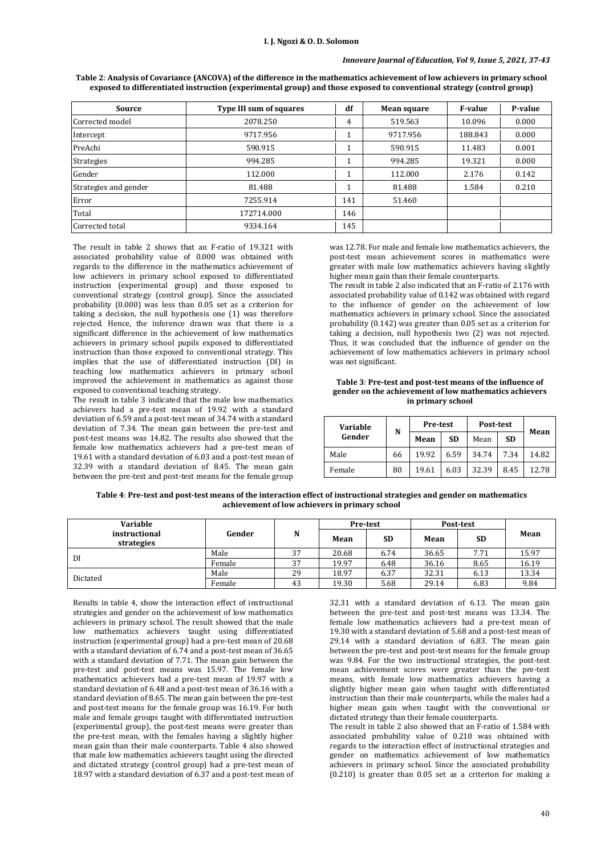# *Innovare Journal of Education, Vol 9, Issue 5, 2021, 37-43*

|                       |                         | df  |             |                |         |  |
|-----------------------|-------------------------|-----|-------------|----------------|---------|--|
| Source                | Type III sum of squares |     | Mean square | <b>F-value</b> | P-value |  |
| Corrected model       | 2078.250                | 4   | 519.563     | 10.096         | 0.000   |  |
| Intercept             | 9717.956                |     | 9717.956    | 188.843        | 0.000   |  |
| PreAchi               | 590.915                 |     | 590.915     | 11.483         | 0.001   |  |
| <b>Strategies</b>     | 994.285                 |     | 994.285     | 19.321         | 0.000   |  |
| Gender                | 112.000                 |     | 112.000     | 2.176          | 0.142   |  |
| Strategies and gender | 81.488                  |     | 81.488      | 1.584          | 0.210   |  |
| Error                 | 7255.914                | 141 | 51.460      |                |         |  |
| Total                 | 172714.000              | 146 |             |                |         |  |
| Corrected total       | 9334.164                | 145 |             |                |         |  |

**Table 2**: **Analysis of Covariance (ANCOVA) of the difference in the mathematics achievement of low achievers in primary school exposed to differentiated instruction (experimental group) and those exposed to conventional strategy (control group)**

The result in table 2 shows that an F-ratio of 19.321 with associated probability value of 0.000 was obtained with regards to the difference in the mathematics achievement of low achievers in primary school exposed to differentiated instruction (experimental group) and those exposed to conventional strategy (control group). Since the associated probability (0.000) was less than 0.05 set as a criterion for taking a decision, the null hypothesis one (1) was therefore rejected. Hence, the inference drawn was that there is a significant difference in the achievement of low mathematics achievers in primary school pupils exposed to differentiated instruction than those exposed to conventional strategy. This implies that the use of differentiated instruction (DI) in teaching low mathematics achievers in primary school improved the achievement in mathematics as against those exposed to conventional teaching strategy.

The result in table 3 indicated that the male low mathematics achievers had a pre-test mean of 19.92 with a standard deviation of 6.59 and a post-test mean of 34.74 with a standard deviation of 7.34. The mean gain between the pre-test and post-test means was 14.82. The results also showed that the female low mathematics achievers had a pre-test mean of 19.61 with a standard deviation of 6.03 and a post-test mean of 32.39 with a standard deviation of 8.45. The mean gain between the pre-test and post-test means for the female group

was 12.78. For male and female low mathematics achievers, the post-test mean achievement scores in mathematics were greater with male low mathematics achievers having slightly higher mean gain than their female counterparts.

The result in table 2 also indicated that an F-ratio of 2.176 with associated probability value of 0.142 was obtained with regard to the influence of gender on the achievement of low mathematics achievers in primary school. Since the associated probability (0.142) was greater than 0.05 set as a criterion for taking a decision, null hypothesis two (2) was not rejected. Thus, it was concluded that the influence of gender on the achievement of low mathematics achievers in primary school was not significant.

### **Table 3**: **Pre-test and post-test means of the influence of gender on the achievement of low mathematics achievers in primary school**

| Variable<br>Gender | N  | Pre-test |           | Post-test |           |       |  |
|--------------------|----|----------|-----------|-----------|-----------|-------|--|
|                    |    | Mean     | <b>SD</b> | Mean      | <b>SD</b> | Mean  |  |
| Male               | 66 | 19.92    | 6.59      | 34.74     | 7.34      | 14.82 |  |
| Female             | 80 | 19.61    | 6.03      | 32.39     | 8.45      | 12.78 |  |

**Table 4**: **Pre-test and post-test means of the interaction effect of instructional strategies and gender on mathematics achievement of low achievers in primary school**

| Variable                    |        |    | <b>Pre-test</b> |           | Post-test |           |       |
|-----------------------------|--------|----|-----------------|-----------|-----------|-----------|-------|
| instructional<br>strategies | Gender | N  | Mean            | <b>SD</b> | Mean      | <b>SD</b> | Mean  |
| DI                          | Male   | 37 | 20.68           | 6.74      | 36.65     | 7.71      | 15.97 |
|                             | Female | 37 | 19.97           | 6.48      | 36.16     | 8.65      | 16.19 |
| Dictated                    | Male   | 29 | 18.97           | 6.37      | 32.31     | 6.13      | 13.34 |
|                             | Female | 43 | 19.30           | 5.68      | 29.14     | 6.83      | 9.84  |

Results in table 4, show the interaction effect of instructional strategies and gender on the achievement of low mathematics achievers in primary school. The result showed that the male low mathematics achievers taught using differentiated instruction (experimental group) had a pre-test mean of 20.68 with a standard deviation of 6.74 and a post-test mean of 36.65 with a standard deviation of 7.71. The mean gain between the pre-test and post-test means was 15.97. The female low mathematics achievers had a pre-test mean of 19.97 with a standard deviation of 6.48 and a post-test mean of 36.16 with a standard deviation of 8.65. The mean gain between the pre-test and post-test means for the female group was 16.19. For both male and female groups taught with differentiated instruction (experimental group), the post-test means were greater than the pre-test mean, with the females having a slightly higher mean gain than their male counterparts. Table 4 also showed that male low mathematics achievers taught using the directed and dictated strategy (control group) had a pre-test mean of 18.97 with a standard deviation of 6.37 and a post-test mean of

32.31 with a standard deviation of 6.13. The mean gain between the pre-test and post-test means was 13.34. The female low mathematics achievers had a pre-test mean of 19.30 with a standard deviation of 5.68 and a post-test mean of 29.14 with a standard deviation of 6.83. The mean gain between the pre-test and post-test means for the female group was 9.84. For the two instructional strategies, the post-test mean achievement scores were greater than the pre-test means, with female low mathematics achievers having a slightly higher mean gain when taught with differentiated instruction than their male counterparts, while the males had a higher mean gain when taught with the conventional or dictated strategy than their female counterparts.

The result in table 2 also showed that an F-ratio of 1.584 with associated probability value of 0.210 was obtained with regards to the interaction effect of instructional strategies and gender on mathematics achievement of low mathematics achievers in primary school. Since the associated probability (0.210) is greater than 0.05 set as a criterion for making a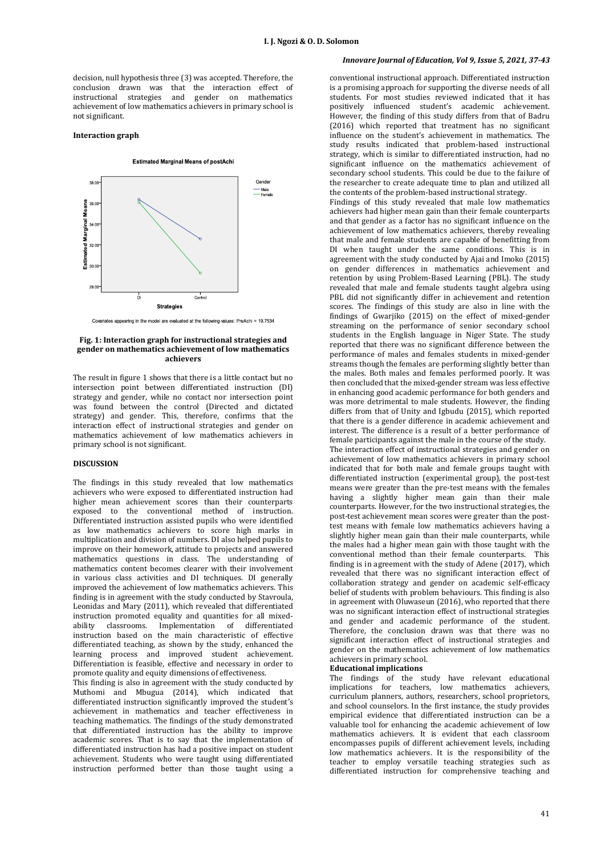decision, null hypothesis three (3) was accepted. Therefore, the conclusion drawn was that the interaction effect of instructional strategies and gender on mathematics achievement of low mathematics achievers in primary school is not significant.

### **Interaction graph**

#### **Estimated Marginal Means of postAchi**



Covariates appearing in the model are evaluated at the following values: PreAchi = 19.7534

### **Fig. 1: Interaction graph for instructional strategies and gender on mathematics achievement of low mathematics achievers**

The result in figure 1 shows that there is a little contact but no intersection point between differentiated instruction (DI) strategy and gender, while no contact nor intersection point was found between the control (Directed and dictated strategy) and gender. This, therefore, confirms that the interaction effect of instructional strategies and gender on mathematics achievement of low mathematics achievers in primary school is not significant.

### **DISCUSSION**

The findings in this study revealed that low mathematics achievers who were exposed to differentiated instruction had higher mean achievement scores than their counterparts exposed to the conventional method of instruction. Differentiated instruction assisted pupils who were identified as low mathematics achievers to score high marks in multiplication and division of numbers. DI also helped pupils to improve on their homework, attitude to projects and answered mathematics questions in class. The understanding of mathematics content becomes clearer with their involvement in various class activities and DI techniques. DI generally improved the achievement of low mathematics achievers. This finding is in agreement with the study conducted by Stavroula, Leonidas and Mary (2011), which revealed that differentiated instruction promoted equality and quantities for all mixedability classrooms. Implementation of differentiated instruction based on the main characteristic of effective differentiated teaching, as shown by the study, enhanced the learning process and improved student achievement. Differentiation is feasible, effective and necessary in order to promote quality and equity dimensions of effectiveness.

This finding is also in agreement with the study conducted by Muthomi and Mbugua (2014), which indicated that differentiated instruction significantly improved the student's achievement in mathematics and teacher effectiveness in teaching mathematics. The findings of the study demonstrated that differentiated instruction has the ability to improve academic scores. That is to say that the implementation of differentiated instruction has had a positive impact on student achievement. Students who were taught using differentiated instruction performed better than those taught using a

# *Innovare Journal of Education, Vol 9, Issue 5, 2021, 37-43*

conventional instructional approach. Differentiated instruction is a promising approach for supporting the diverse needs of all students. For most studies reviewed indicated that it has positively influenced student's academic achievement. However, the finding of this study differs from that of Badru (2016) which reported that treatment has no significant influence on the student's achievement in mathematics. The study results indicated that problem-based instructional strategy, which is similar to differentiated instruction, had no significant influence on the mathematics achievement of secondary school students. This could be due to the failure of the researcher to create adequate time to plan and utilized all the contents of the problem-based instructional strategy.

Findings of this study revealed that male low mathematics achievers had higher mean gain than their female counterparts and that gender as a factor has no significant influence on the achievement of low mathematics achievers, thereby revealing that male and female students are capable of benefitting from DI when taught under the same conditions. This is in agreement with the study conducted by Ajai and Imoko (2015) on gender differences in mathematics achievement and retention by using Problem-Based Learning (PBL). The study revealed that male and female students taught algebra using PBL did not significantly differ in achievement and retention scores. The findings of this study are also in line with the findings of Gwarjiko (2015) on the effect of mixed-gender streaming on the performance of senior secondary school students in the English language in Niger State. The study reported that there was no significant difference between the performance of males and females students in mixed-gender streams though the females are performing slightly better than the males. Both males and females performed poorly. It was then concluded that the mixed-gender stream was less effective in enhancing good academic performance for both genders and was more detrimental to male students. However, the finding differs from that of Unity and Igbudu (2015), which reported that there is a gender difference in academic achievement and interest. The difference is a result of a better performance of female participants against the male in the course of the study. The interaction effect of instructional strategies and gender on achievement of low mathematics achievers in primary school indicated that for both male and female groups taught with differentiated instruction (experimental group), the post-test means were greater than the pre-test means with the females having a slightly higher mean gain than their male counterparts. However, for the two instructional strategies, the post-test achievement mean scores were greater than the posttest means with female low mathematics achievers having a slightly higher mean gain than their male counterparts, while the males had a higher mean gain with those taught with the conventional method than their female counterparts. This finding is in agreement with the study of Adene (2017), which revealed that there was no significant interaction effect of collaboration strategy and gender on academic self-efficacy belief of students with problem behaviours. This finding is also in agreement with Oluwaseun (2016), who reported that there was no significant interaction effect of instructional strategies and gender and academic performance of the student. Therefore, the conclusion drawn was that there was no significant interaction effect of instructional strategies and gender on the mathematics achievement of low mathematics achievers in primary school.

### **Educational implications**

The findings of the study have relevant educational implications for teachers, low mathematics achievers, curriculum planners, authors, researchers, school proprietors, and school counselors. In the first instance, the study provides empirical evidence that differentiated instruction can be a valuable tool for enhancing the academic achievement of low mathematics achievers. It is evident that each classroom encompasses pupils of different achievement levels, including low mathematics achievers. It is the responsibility of the teacher to employ versatile teaching strategies such as differentiated instruction for comprehensive teaching and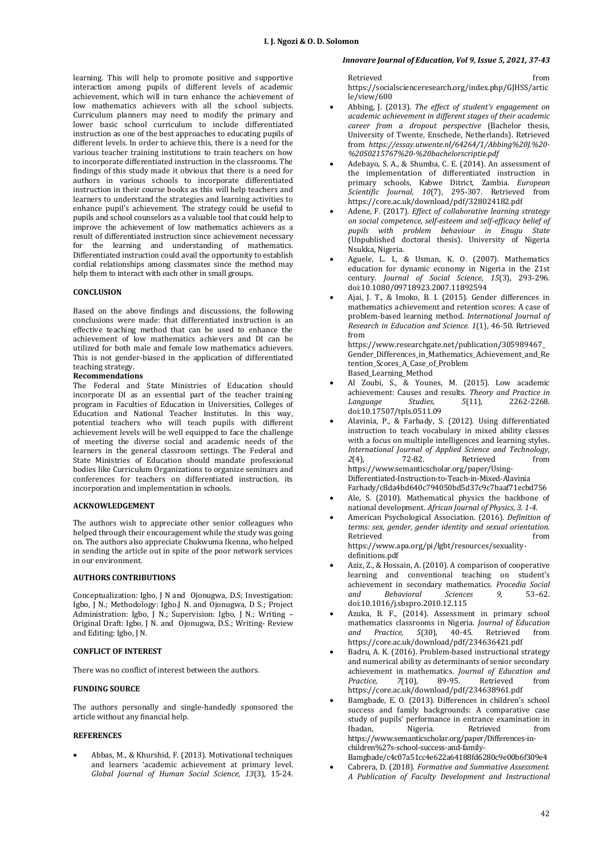learning. This will help to promote positive and supportive interaction among pupils of different levels of academic achievement, which will in turn enhance the achievement of low mathematics achievers with all the school subjects. Curriculum planners may need to modify the primary and lower basic school curriculum to include differentiated instruction as one of the best approaches to educating pupils of different levels. In order to achieve this, there is a need for the various teacher training institutions to train teachers on how to incorporate differentiated instruction in the classrooms. The findings of this study made it obvious that there is a need for authors in various schools to incorporate differentiated instruction in their course books as this will help teachers and learners to understand the strategies and learning activities to enhance pupil's achievement. The strategy could be useful to pupils and school counselors as a valuable tool that could help to improve the achievement of low mathematics achievers as a result of differentiated instruction since achievement necessary for the learning and understanding of mathematics. Differentiated instruction could avail the opportunity to establish cordial relationships among classmates since the method may help them to interact with each other in small groups.

### **CONCLUSION**

Based on the above findings and discussions, the following conclusions were made: that differentiated instruction is an effective teaching method that can be used to enhance the achievement of low mathematics achievers and DI can be utilized for both male and female low mathematics achievers. This is not gender-biased in the application of differentiated teaching strategy.

### **Recommendations**

The Federal and State Ministries of Education should incorporate DI as an essential part of the teacher training program in Faculties of Education in Universities, Colleges of Education and National Teacher Institutes. In this way, potential teachers who will teach pupils with different achievement levels will be well equipped to face the challenge of meeting the diverse social and academic needs of the learners in the general classroom settings. The Federal and State Ministries of Education should mandate professional bodies like Curriculum Organizations to organize seminars and conferences for teachers on differentiated instruction, its incorporation and implementation in schools.

### **ACKNOWLEDGEMENT**

The authors wish to appreciate other senior colleagues who helped through their encouragement while the study was going on. The authors also appreciate Chukwuma Ikenna, who helped in sending the article out in spite of the poor network services in our environment.

### **AUTHORS CONTRIBUTIONS**

Conceptualization: Igbo, J N and Ojonugwa, D.S; Investigation: Igbo, J N.; Methodology: Igbo.J N. and Ojonugwa, D S.; Project Administration: Igbo, J N.; Supervision: Igbo, J N.; Writing – Original Draft: Igbo, J N. and Ojonugwa, D.S.; Writing- Review and Editing: Igbo, J N.

# **CONFLICT OF INTEREST**

There was no conflict of interest between the authors.

# **FUNDING SOURCE**

The authors personally and single-handedly sponsored the article without any financial help.

### **REFERENCES**

 Abbas, M., & Khurshid, F. (2013). Motivational techniques and learners 'academic achievement at primary level. *Global Journal of Human Social Science, 13*(3), 15-24.

# *Innovare Journal of Education, Vol 9, Issue 5, 2021, 37-43*

Retrieved from the state of  $\sim$ [https://socialscienceresearch.org/index.php/GJHSS/artic](https://socialscienceresearch.org/index.php/GJHSS/article/view/600) [le/view/600](https://socialscienceresearch.org/index.php/GJHSS/article/view/600)

- Abbing, J. (2013). *The effect of student's engagement on academic achievement in different stages of their academic career from a dropout perspective* (Bachelor thesis, University of Twente, Enschede, Netherlands). Retrieved from *[https://essay.utwente.nl/64264/1/Abbing%20J.%20-](https://essay.utwente.nl/64264/1/Abbing%20J.%20-%20S0215767%20-%20bachelorscriptie.pdf) [%20S0215767%20-%20bachelorscriptie.pdf](https://essay.utwente.nl/64264/1/Abbing%20J.%20-%20S0215767%20-%20bachelorscriptie.pdf)*
- Adebayo, S. A., & Shumba, C. E. (2014). An assessment of the implementation of differentiated instruction in primary schools, Kabwe Ditrict, Zambia. *European Scientific Journal, 10*(7), 295-307. Retrieved from <https://core.ac.uk/download/pdf/328024182.pdf>
- Adene, F. (2017). *Effect of collaborative learning strategy on social competence, self-esteem and self-efficacy belief of pupils with problem behaviour in Enugu State* (Unpublished doctoral thesis). University of Nigeria Nsukka, Nigeria.
- Aguele, L. I., & Usman, K. O. (2007). Mathematics education for dynamic economy in Nigeria in the 21st century. *Journal of Social Science, 15*(3), 293-296. [doi:10.1080/09718923.2007.11892594](https://www.tandfonline.com/doi/abs/10.1080/09718923.2007.11892594)
- Ajai, J. T., & Imoko, B. I. (2015). Gender differences in mathematics achievement and retention scores: A case of problem-based learning method*. International Journal of Research in Education and Science. 1*(1), 46-50. Retrieved from

[https://www.researchgate.net/publication/305989467\\_](https://www.researchgate.net/publication/305989467_Gender_Differences_in_Mathematics_Achievement_and_Retention_Scores_A_Case_of_Problem%20Based_Learning_Method) [Gender\\_Differences\\_in\\_Mathematics\\_Achievement\\_and\\_Re](https://www.researchgate.net/publication/305989467_Gender_Differences_in_Mathematics_Achievement_and_Retention_Scores_A_Case_of_Problem%20Based_Learning_Method) [tention\\_Scores\\_A\\_Case\\_of\\_Problem](https://www.researchgate.net/publication/305989467_Gender_Differences_in_Mathematics_Achievement_and_Retention_Scores_A_Case_of_Problem%20Based_Learning_Method)  [Based\\_Learning\\_Method](https://www.researchgate.net/publication/305989467_Gender_Differences_in_Mathematics_Achievement_and_Retention_Scores_A_Case_of_Problem%20Based_Learning_Method)

- Al Zoubi, S., & Younes, M. (2015). Low academic achievement: Causes and results. *Theory and Practice in Language Studies, 5*(11), 2262-2268. [doi:10.17507/tpls.0511.09](http://www.academypublication.com/issues2/tpls/vol05/11/09.pdf)
- Alavinia, P., & Farhady, S. (2012). Using differentiated instruction to teach vocabulary in mixed ability classes with a focus on multiple intelligences and learning styles. *International Journal of Applied Science and Technology, 2*(4), 72-82*.* Retrieved from [https://www.semanticscholar.org/paper/Using-](https://www.semanticscholar.org/paper/Using-Differentiated-Instruction-to-Teach-in-Mixed-Alavinia-Farhady/c8da4bd640c794050bd5d37c9c7baaf71ecbd756)[Differentiated-Instruction-to-Teach-in-Mixed-Alavinia](https://www.semanticscholar.org/paper/Using-Differentiated-Instruction-to-Teach-in-Mixed-Alavinia-Farhady/c8da4bd640c794050bd5d37c9c7baaf71ecbd756)  [Farhady/c8da4bd640c794050bd5d37c9c7baaf71ecbd756](https://www.semanticscholar.org/paper/Using-Differentiated-Instruction-to-Teach-in-Mixed-Alavinia-Farhady/c8da4bd640c794050bd5d37c9c7baaf71ecbd756)
- Ale, S. (2010). Mathematical physics the backbone of national development. *African Journal of Physics, 3. 1-4.*
- American Psychological Association. (2016). *Definition of terms: sex, gender, gender identity and sexual orientation*. Retrieved **from** [https://www.apa.org/pi/lgbt/resources/sexuality](https://www.apa.org/pi/lgbt/resources/sexuality-definitions.pdf)[definitions.pdf](https://www.apa.org/pi/lgbt/resources/sexuality-definitions.pdf)
- Aziz, Z., & Hossain, A. (2010). A comparison of cooperative learning and conventional teaching on student's achievement in secondary mathematics. *Procedia Social and Behavioral Sciences 9,* 53–62. [doi:10.1016/j.sbspro.2010.12.115](https://www.sciencedirect.com/science/article/pii/S1877042810022202?via%3Dihub)
- Azuka, B. F., (2014). Assessment in primary school mathematics classrooms in Nigeria. *Journal of Education and Practice, 5*(30), 40-45. Retrieved from <https://core.ac.uk/download/pdf/234636421.pdf>
- Badru, A. K. (2016). Problem-based instructional strategy and numerical ability as determinants of senior secondary achievement in mathematics. *Journal of Education and Practice, 7*(10), 89-95. Retrieved from <https://core.ac.uk/download/pdf/234638961.pdf>
- Bamgbade, E. O. (2013). Differences in children's school success and family backgrounds: A comparative case study of pupils' performance in entrance examination in Ibadan, Nigeria. Retrieved from https://www.semanticscholar.org/paper/Differences-inchildren%27s-school-success-and-family-
	- Bamgbade/c4c07a51cc4e622a64188fd6280c9e00b6f309e4 Cabrera, D. (2018). *Formative and Summative Assessment. A Publication of Faculty Development and Instructional*